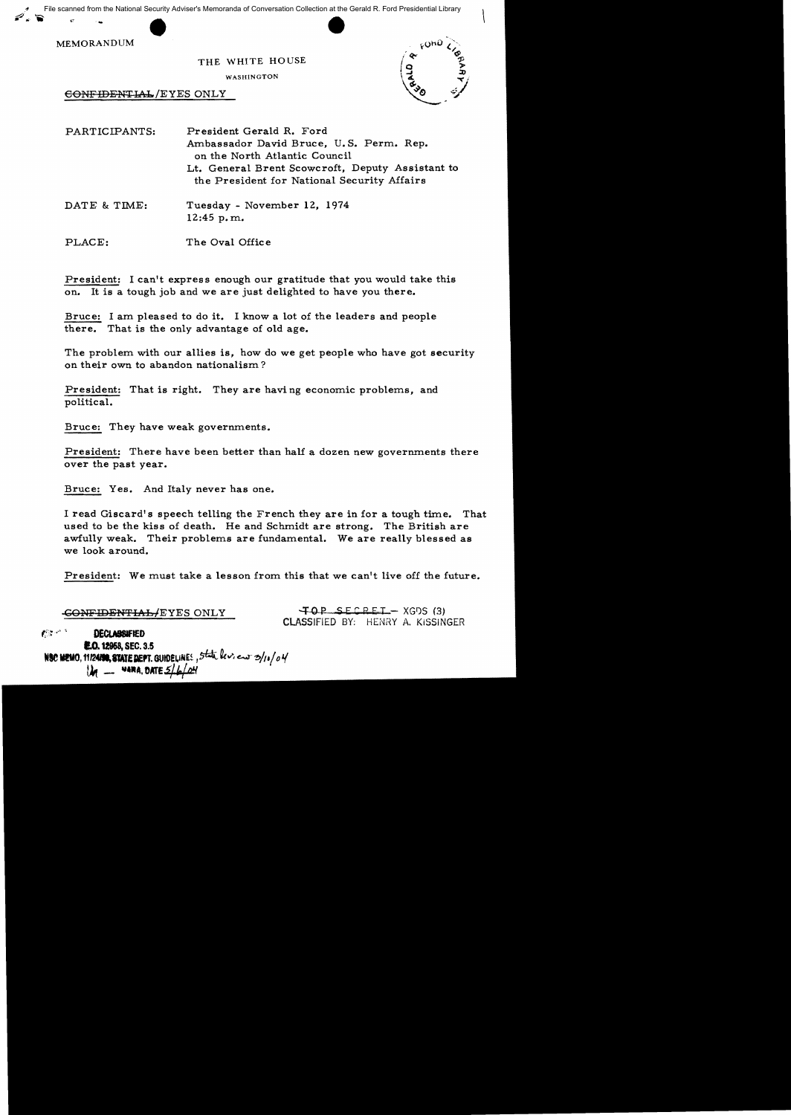File scanned from the National Security Adviser's Memoranda of Conversation Collection at the Gerald R. Ford Presidential Library



## THE WHITE HOUSE

WASHINGTON

CONFIDENTIAL/EYES ONLY



PARTICIPANTS: President Gerald R. Ford Ambassador David Bruce, U.S. Perm. Rep. on the North Atlantic Council Lt. General Brent Scowcroft, Deputy Assistant to the President for National Security Affairs DATE & TIME: Tuesday - November 12, 1974 12:45 p.m.

The Oval Office PLACE:

President: I can't express enough our gratitude that you would take this on. It is a tough job and we are just delighted to have you there.

Bruce: I am pleased to do it. I know a lot of the leaders and people there. That is the only advantage of old age.

The problem with our allies is, how do we get people who have got security on their own to abandon nationalism?

President: That is right. They are having economic problems, and political.

Bruce: They have weak governments.

President: There have been better than half a dozen new governments there over the past year.

Bruce: Yes. And Italy never has one.

I read Giscard's speech telling the French they are in for a tough time. That used to be the kiss of death. He and Schmidt are strong. The British are awfully weak. Their problems are fundamental. We are really blessed as we look around.

President: We must take a lesson from this that we can't live off the future.

CONFIDENTIAL/EYES ONLY

TOP SECRET - XGDS (3) **CLASSIFIED BY: HENRY A. KISSINGER** 

 $C^{n+1}$ **DECLASSIFIED E.O. 12958, SEC. 3.5** NSC MEMO, 11/2450, STATE DEPT. GUIDELINES, State levieur 3/10/04  $M =$  ware, DATE  $5/h/\alpha H$